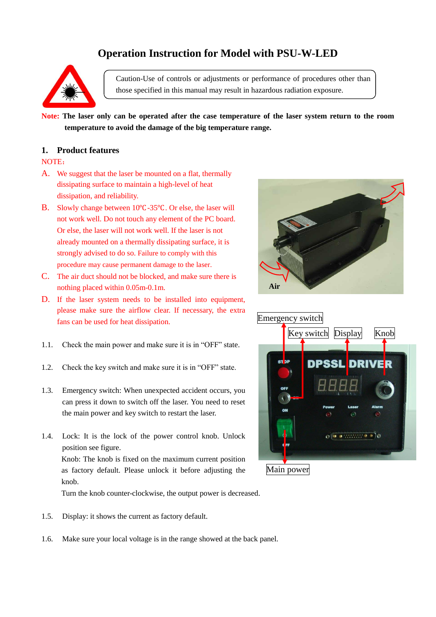# **Operation Instruction for Model with PSU-W-LED**



Caution-Use of controls or adjustments or performance of procedures other than those specified in this manual may result in hazardous radiation exposure.

**Note: The laser only can be operated after the case temperature of the laser system return to the room temperature to avoid the damage of the big temperature range.**

#### **1. Product features**

### NOTE:

- A. We suggest that the laser be mounted on a flat, thermally dissipating surface to maintain a high-level of heat dissipation, and reliability.
- B. Slowly change between 10℃-35℃. Or else, the laser will not work well. Do not touch any element of the PC board. Or else, the laser will not work well. If the laser is not already mounted on a thermally dissipating surface, it is strongly advised to do so. Failure to comply with this procedure may cause permanent damage to the laser.
- C. The air duct should not be blocked, and make sure there is nothing placed within 0.05m-0.1m.
- D. If the laser system needs to be installed into equipment, please make sure the airflow clear. If necessary, the extra fans can be used for heat dissipation.
- 1.1. Check the main power and make sure it is in "OFF" state.
- 1.2. Check the key switch and make sure it is in "OFF" state.
- 1.3. Emergency switch: When unexpected accident occurs, you can press it down to switch off the laser. You need to reset the main power and key switch to restart the laser.
- 1.4. Lock: It is the lock of the power control knob. Unlock position see figure. Knob: The knob is fixed on the maximum current position as factory default. Please unlock it before adjusting the knob.

Turn the knob counter-clockwise, the output power is decreased.

- 1.5. Display: it shows the current as factory default.
- 1.6. Make sure your local voltage is in the range showed at the back panel.



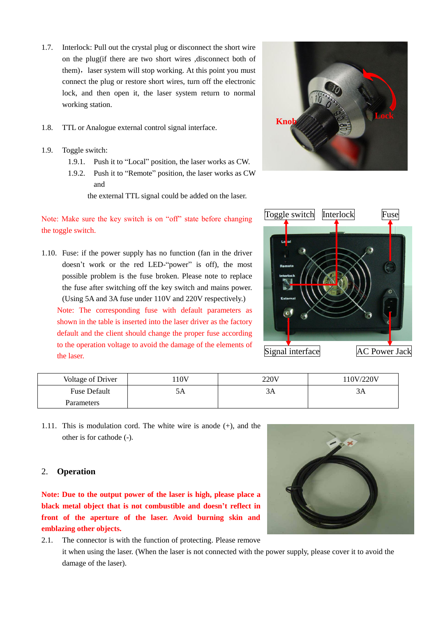- 1.7. Interlock: Pull out the crystal plug or disconnect the short wire on the plug(if there are two short wires ,disconnect both of them), laser system will stop working. At this point you must connect the plug or restore short wires, turn off the electronic lock, and then open it, the laser system return to normal working station.
- 1.8. TTL or Analogue external control signal interface.
- 1.9. Toggle switch:
	- 1.9.1. Push it to "Local" position, the laser works as CW.
	- 1.9.2. Push it to "Remote" position, the laser works as CW and

the external TTL signal could be added on the laser.

## Note: Make sure the key switch is on "off" state before changing the toggle switch.

1.10. Fuse: if the power supply has no function (fan in the driver doesn't work or the red LED-"power" is off), the most possible problem is the fuse broken. Please note to replace the fuse after switching off the key switch and mains power. (Using 5A and 3A fuse under 110V and 220V respectively.) Note: The corresponding fuse with default parameters as shown in the table is inserted into the laser driver as the factory default and the client should change the proper fuse according to the operation voltage to avoid the damage of the elements of the laser.





| Voltage of Driver   | 10V | 220V | 10V/220V |
|---------------------|-----|------|----------|
| <b>Fuse Default</b> |     | эд   |          |
| Parameters          |     |      |          |

1.11. This is modulation cord. The white wire is anode (+), and the other is for cathode (-).

## 2. **Operation**

**Note: Due to the output power of the laser is high, please place a black metal object that is not combustible and doesn't reflect in front of the aperture of the laser. Avoid burning skin and emblazing other objects.**

2.1. The connector is with the function of protecting. Please remove it when using the laser. (When the laser is not connected with the power supply, please cover it to avoid the damage of the laser).

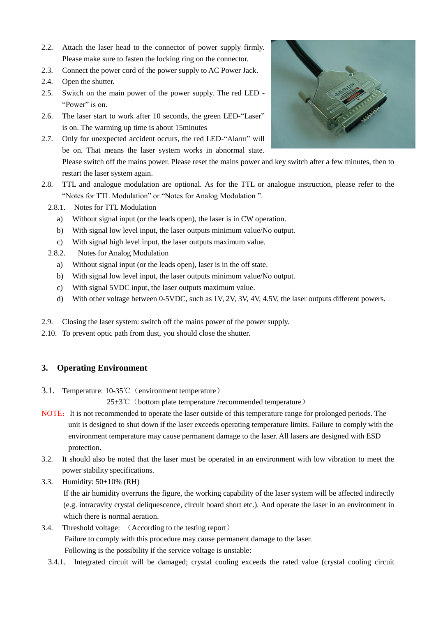- 2.2. Attach the laser head to the connector of power supply firmly. Please make sure to fasten the locking ring on the connector.
- 2.3. Connect the power cord of the power supply to AC Power Jack.
- 2.4. Open the shutter.
- 2.5. Switch on the main power of the power supply. The red LED "Power" is on.
- 2.6. The laser start to work after 10 seconds, the green LED-"Laser" is on. The warming up time is about 15minutes
- 2.7. Only for unexpected accident occurs, the red LED-"Alarm" will be on. That means the laser system works in abnormal state. Please switch off the mains power. Please reset the mains power and key switch after a few minutes, then to restart the laser system again.
- 2.8. TTL and analogue modulation are optional. As for the TTL or analogue instruction, please refer to the "Notes for TTL Modulation" or "Notes for Analog Modulation ".
	- 2.8.1. Notes for TTL Modulation
		- a) Without signal input (or the leads open), the laser is in CW operation.
		- b) With signal low level input, the laser outputs minimum value/No output.
		- c) With signal high level input, the laser outputs maximum value.
	- 2.8.2. Notes for Analog Modulation
		- a) Without signal input (or the leads open), laser is in the off state.
		- b) With signal low level input, the laser outputs minimum value/No output.
		- c) With signal 5VDC input, the laser outputs maximum value.
		- d) With other voltage between 0-5VDC, such as 1V, 2V, 3V, 4V, 4.5V, the laser outputs different powers.
- 2.9. Closing the laser system: switch off the mains power of the power supply.
- 2.10. To prevent optic path from dust, you should close the shutter.

## **3. Operating Environment**

3.1. Temperature: 10-35℃(environment temperature)

25±3℃(bottom plate temperature /recommended temperature)

- NOTE: It is not recommended to operate the laser outside of this temperature range for prolonged periods. The unit is designed to shut down if the laser exceeds operating temperature limits. Failure to comply with the environment temperature may cause permanent damage to the laser. All lasers are designed with ESD protection.
- 3.2. It should also be noted that the laser must be operated in an environment with low vibration to meet the power stability specifications.
- 3.3. Humidity: 50±10% (RH)

If the air humidity overruns the figure, the working capability of the laser system will be affected indirectly (e.g. intracavity crystal deliquescence, circuit board short etc.). And operate the laser in an environment in which there is normal aeration.

## 3.4. Threshold voltage: (According to the testing report) Failure to comply with this procedure may cause permanent damage to the laser. Following is the possibility if the service voltage is unstable:

3.4.1. Integrated circuit will be damaged; crystal cooling exceeds the rated value (crystal cooling circuit

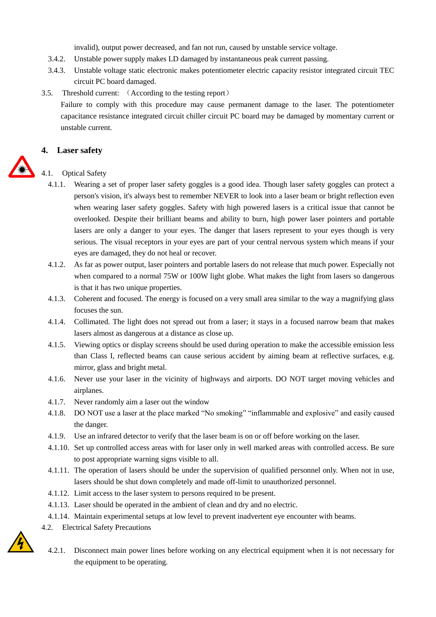invalid), output power decreased, and fan not run, caused by unstable service voltage.

- 3.4.2. Unstable power supply makes LD damaged by instantaneous peak current passing.
- 3.4.3. Unstable voltage static electronic makes potentiometer electric capacity resistor integrated circuit TEC circuit PC board damaged.
- 3.5. Threshold current: (According to the testing report)

Failure to comply with this procedure may cause permanent damage to the laser. The potentiometer capacitance resistance integrated circuit chiller circuit PC board may be damaged by momentary current or unstable current.

### **4. Laser safety**

#### 4.1. Optical Safety

- 4.1.1. Wearing a set of proper [laser safety goggles](http://www.wickedlasers.com/Goggles-16-1.html) is a good idea. Though laser safety goggles can protect a person's vision, it's always best to remember NEVER to look into a laser beam or bright reflection even when wearing laser safety goggles. Safety with high powered lasers is a critical issue that cannot be overlooked. Despite their brilliant beams and ability to burn, high power laser pointers and portable lasers are only a danger to your eyes. The danger that lasers represent to your eyes though is very serious. The visual receptors in your eyes are part of your central nervous system which means if your eyes are damaged, they do not heal or recover.
- 4.1.2. As far as power output, laser pointers and portable lasers do not release that much power. Especially not when compared to a normal 75W or 100W light globe. What makes the light from lasers so dangerous is that it has two unique properties.
- 4.1.3. Coherent and focused. The energy is focused on a very small area similar to the way a magnifying glass focuses the sun.
- 4.1.4. Collimated. The light does not spread out from a laser; it stays in a focused narrow beam that makes lasers almost as dangerous at a distance as close up.
- 4.1.5. Viewing optics or display screens should be used during operation to make the accessible emission less than Class I, reflected beams can cause serious accident by aiming beam at reflective surfaces, e.g. mirror, glass and bright metal.
- 4.1.6. Never use your laser in the vicinity of highways and airports. DO NOT target moving vehicles and airplanes.
- 4.1.7. Never randomly aim a laser out the window
- 4.1.8. DO NOT use a laser at the place marked "No smoking" "inflammable and explosive" and easily caused the danger.
- 4.1.9. Use an infrared detector to verify that the laser beam is on or off before working on the laser.
- 4.1.10. Set up controlled access areas with for laser only in well marked areas with controlled access. Be sure to post appropriate warning signs visible to all.
- 4.1.11. The operation of lasers should be under the supervision of qualified personnel only. When not in use, lasers should be shut down completely and made off-limit to unauthorized personnel.
- 4.1.12. Limit access to the laser system to persons required to be present.
- 4.1.13. Laser should be operated in the ambient of clean and dry and no electric.
- 4.1.14. Maintain experimental setups at low level to prevent inadvertent eye encounter with beams.
- 4.2. Electrical Safety Precautions
- 
- 4.2.1. Disconnect main power lines before working on any electrical equipment when it is not necessary for the equipment to be operating.